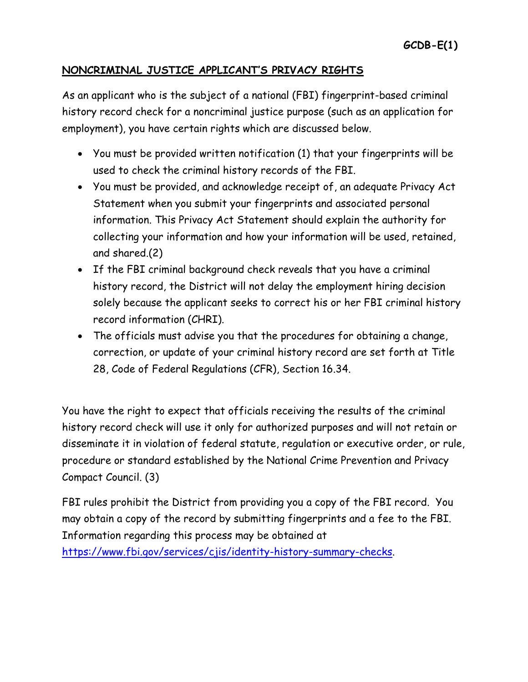## **NONCRIMINAL JUSTICE APPLICANT'S PRIVACY RIGHTS**

As an applicant who is the subject of a national (FBI) fingerprint-based criminal history record check for a noncriminal justice purpose (such as an application for employment), you have certain rights which are discussed below.

- You must be provided written notification (1) that your fingerprints will be used to check the criminal history records of the FBI.
- You must be provided, and acknowledge receipt of, an adequate Privacy Act Statement when you submit your fingerprints and associated personal information. This Privacy Act Statement should explain the authority for collecting your information and how your information will be used, retained, and shared.(2)
- If the FBI criminal background check reveals that you have a criminal history record, the District will not delay the employment hiring decision solely because the applicant seeks to correct his or her FBI criminal history record information (CHRI).
- The officials must advise you that the procedures for obtaining a change, correction, or update of your criminal history record are set forth at Title 28, Code of Federal Regulations (CFR), Section 16.34.

You have the right to expect that officials receiving the results of the criminal history record check will use it only for authorized purposes and will not retain or disseminate it in violation of federal statute, regulation or executive order, or rule, procedure or standard established by the National Crime Prevention and Privacy Compact Council. (3)

FBI rules prohibit the District from providing you a copy of the FBI record. You may obtain a copy of the record by submitting fingerprints and a fee to the FBI. Information regarding this process may be obtained at

[https://www.fbi.gov/services/cjis/identity-history-summary-checks.](https://www.fbi.gov/services/cjis/identity-history-summary-checks)